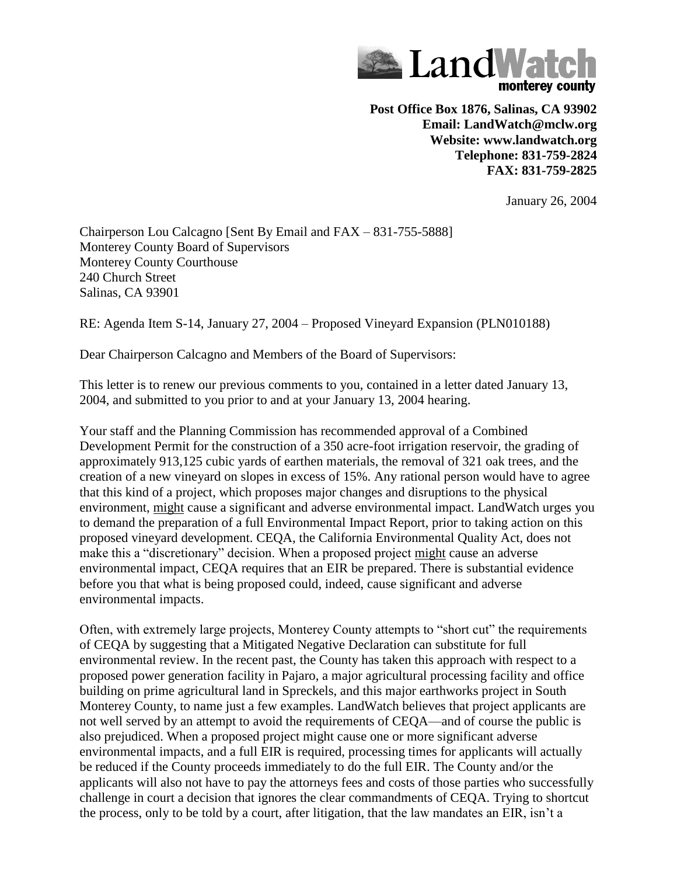

**Post Office Box 1876, Salinas, CA 93902 Email: LandWatch@mclw.org Website: www.landwatch.org Telephone: 831-759-2824 FAX: 831-759-2825**

January 26, 2004

Chairperson Lou Calcagno [Sent By Email and FAX – 831-755-5888] Monterey County Board of Supervisors Monterey County Courthouse 240 Church Street Salinas, CA 93901

RE: Agenda Item S-14, January 27, 2004 – Proposed Vineyard Expansion (PLN010188)

Dear Chairperson Calcagno and Members of the Board of Supervisors:

This letter is to renew our previous comments to you, contained in a letter dated January 13, 2004, and submitted to you prior to and at your January 13, 2004 hearing.

Your staff and the Planning Commission has recommended approval of a Combined Development Permit for the construction of a 350 acre-foot irrigation reservoir, the grading of approximately 913,125 cubic yards of earthen materials, the removal of 321 oak trees, and the creation of a new vineyard on slopes in excess of 15%. Any rational person would have to agree that this kind of a project, which proposes major changes and disruptions to the physical environment, might cause a significant and adverse environmental impact. LandWatch urges you to demand the preparation of a full Environmental Impact Report, prior to taking action on this proposed vineyard development. CEQA, the California Environmental Quality Act, does not make this a "discretionary" decision. When a proposed project might cause an adverse environmental impact, CEQA requires that an EIR be prepared. There is substantial evidence before you that what is being proposed could, indeed, cause significant and adverse environmental impacts.

Often, with extremely large projects, Monterey County attempts to "short cut" the requirements of CEQA by suggesting that a Mitigated Negative Declaration can substitute for full environmental review. In the recent past, the County has taken this approach with respect to a proposed power generation facility in Pajaro, a major agricultural processing facility and office building on prime agricultural land in Spreckels, and this major earthworks project in South Monterey County, to name just a few examples. LandWatch believes that project applicants are not well served by an attempt to avoid the requirements of CEQA—and of course the public is also prejudiced. When a proposed project might cause one or more significant adverse environmental impacts, and a full EIR is required, processing times for applicants will actually be reduced if the County proceeds immediately to do the full EIR. The County and/or the applicants will also not have to pay the attorneys fees and costs of those parties who successfully challenge in court a decision that ignores the clear commandments of CEQA. Trying to shortcut the process, only to be told by a court, after litigation, that the law mandates an EIR, isn't a